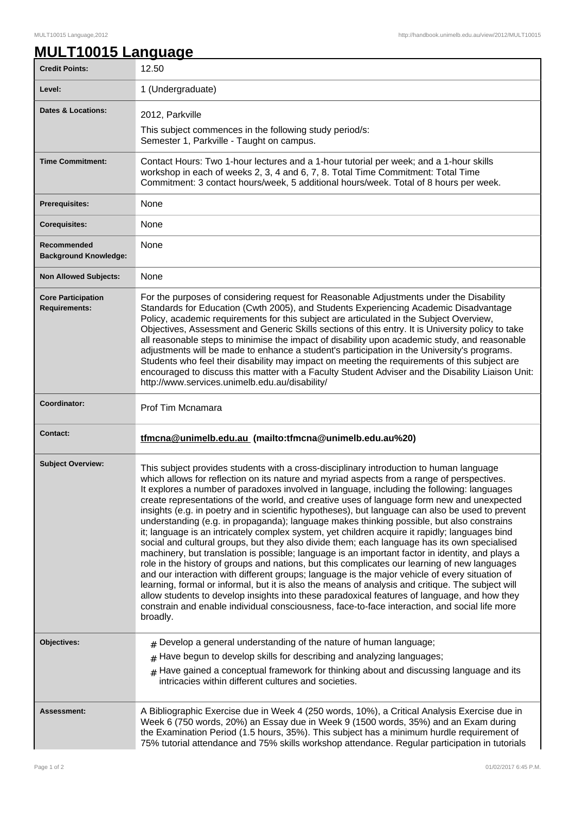## **MULT10015 Language**

| <b>Credit Points:</b>                             | 12.50                                                                                                                                                                                                                                                                                                                                                                                                                                                                                                                                                                                                                                                                                                                                                                                                                                                                                                                                                                                                                                                                                                                                                                                                                                                                                                                                                                                                         |
|---------------------------------------------------|---------------------------------------------------------------------------------------------------------------------------------------------------------------------------------------------------------------------------------------------------------------------------------------------------------------------------------------------------------------------------------------------------------------------------------------------------------------------------------------------------------------------------------------------------------------------------------------------------------------------------------------------------------------------------------------------------------------------------------------------------------------------------------------------------------------------------------------------------------------------------------------------------------------------------------------------------------------------------------------------------------------------------------------------------------------------------------------------------------------------------------------------------------------------------------------------------------------------------------------------------------------------------------------------------------------------------------------------------------------------------------------------------------------|
| Level:                                            | 1 (Undergraduate)                                                                                                                                                                                                                                                                                                                                                                                                                                                                                                                                                                                                                                                                                                                                                                                                                                                                                                                                                                                                                                                                                                                                                                                                                                                                                                                                                                                             |
| <b>Dates &amp; Locations:</b>                     | 2012, Parkville                                                                                                                                                                                                                                                                                                                                                                                                                                                                                                                                                                                                                                                                                                                                                                                                                                                                                                                                                                                                                                                                                                                                                                                                                                                                                                                                                                                               |
|                                                   | This subject commences in the following study period/s:<br>Semester 1, Parkville - Taught on campus.                                                                                                                                                                                                                                                                                                                                                                                                                                                                                                                                                                                                                                                                                                                                                                                                                                                                                                                                                                                                                                                                                                                                                                                                                                                                                                          |
| <b>Time Commitment:</b>                           | Contact Hours: Two 1-hour lectures and a 1-hour tutorial per week; and a 1-hour skills<br>workshop in each of weeks 2, 3, 4 and 6, 7, 8. Total Time Commitment: Total Time<br>Commitment: 3 contact hours/week, 5 additional hours/week. Total of 8 hours per week.                                                                                                                                                                                                                                                                                                                                                                                                                                                                                                                                                                                                                                                                                                                                                                                                                                                                                                                                                                                                                                                                                                                                           |
| Prerequisites:                                    | <b>None</b>                                                                                                                                                                                                                                                                                                                                                                                                                                                                                                                                                                                                                                                                                                                                                                                                                                                                                                                                                                                                                                                                                                                                                                                                                                                                                                                                                                                                   |
| <b>Corequisites:</b>                              | None                                                                                                                                                                                                                                                                                                                                                                                                                                                                                                                                                                                                                                                                                                                                                                                                                                                                                                                                                                                                                                                                                                                                                                                                                                                                                                                                                                                                          |
| Recommended<br><b>Background Knowledge:</b>       | None                                                                                                                                                                                                                                                                                                                                                                                                                                                                                                                                                                                                                                                                                                                                                                                                                                                                                                                                                                                                                                                                                                                                                                                                                                                                                                                                                                                                          |
| <b>Non Allowed Subjects:</b>                      | None                                                                                                                                                                                                                                                                                                                                                                                                                                                                                                                                                                                                                                                                                                                                                                                                                                                                                                                                                                                                                                                                                                                                                                                                                                                                                                                                                                                                          |
| <b>Core Participation</b><br><b>Requirements:</b> | For the purposes of considering request for Reasonable Adjustments under the Disability<br>Standards for Education (Cwth 2005), and Students Experiencing Academic Disadvantage<br>Policy, academic requirements for this subject are articulated in the Subject Overview,<br>Objectives, Assessment and Generic Skills sections of this entry. It is University policy to take<br>all reasonable steps to minimise the impact of disability upon academic study, and reasonable<br>adjustments will be made to enhance a student's participation in the University's programs.<br>Students who feel their disability may impact on meeting the requirements of this subject are<br>encouraged to discuss this matter with a Faculty Student Adviser and the Disability Liaison Unit:<br>http://www.services.unimelb.edu.au/disability/                                                                                                                                                                                                                                                                                                                                                                                                                                                                                                                                                                       |
| Coordinator:                                      | Prof Tim Mcnamara                                                                                                                                                                                                                                                                                                                                                                                                                                                                                                                                                                                                                                                                                                                                                                                                                                                                                                                                                                                                                                                                                                                                                                                                                                                                                                                                                                                             |
| <b>Contact:</b>                                   | tfmcna@unimelb.edu.au (mailto:tfmcna@unimelb.edu.au%20)                                                                                                                                                                                                                                                                                                                                                                                                                                                                                                                                                                                                                                                                                                                                                                                                                                                                                                                                                                                                                                                                                                                                                                                                                                                                                                                                                       |
| <b>Subject Overview:</b>                          | This subject provides students with a cross-disciplinary introduction to human language<br>which allows for reflection on its nature and myriad aspects from a range of perspectives.<br>It explores a number of paradoxes involved in language, including the following: languages<br>create representations of the world, and creative uses of language form new and unexpected<br>insights (e.g. in poetry and in scientific hypotheses), but language can also be used to prevent<br>understanding (e.g. in propaganda); language makes thinking possible, but also constrains<br>it; language is an intricately complex system, yet children acquire it rapidly; languages bind<br>social and cultural groups, but they also divide them; each language has its own specialised<br>machinery, but translation is possible; language is an important factor in identity, and plays a<br>role in the history of groups and nations, but this complicates our learning of new languages<br>and our interaction with different groups; language is the major vehicle of every situation of<br>learning, formal or informal, but it is also the means of analysis and critique. The subject will<br>allow students to develop insights into these paradoxical features of language, and how they<br>constrain and enable individual consciousness, face-to-face interaction, and social life more<br>broadly. |
| Objectives:                                       | $#$ Develop a general understanding of the nature of human language;<br>Have begun to develop skills for describing and analyzing languages;<br>#<br>$*$ Have gained a conceptual framework for thinking about and discussing language and its<br>intricacies within different cultures and societies.                                                                                                                                                                                                                                                                                                                                                                                                                                                                                                                                                                                                                                                                                                                                                                                                                                                                                                                                                                                                                                                                                                        |
| Assessment:                                       | A Bibliographic Exercise due in Week 4 (250 words, 10%), a Critical Analysis Exercise due in<br>Week 6 (750 words, 20%) an Essay due in Week 9 (1500 words, 35%) and an Exam during<br>the Examination Period (1.5 hours, 35%). This subject has a minimum hurdle requirement of<br>75% tutorial attendance and 75% skills workshop attendance. Regular participation in tutorials                                                                                                                                                                                                                                                                                                                                                                                                                                                                                                                                                                                                                                                                                                                                                                                                                                                                                                                                                                                                                            |